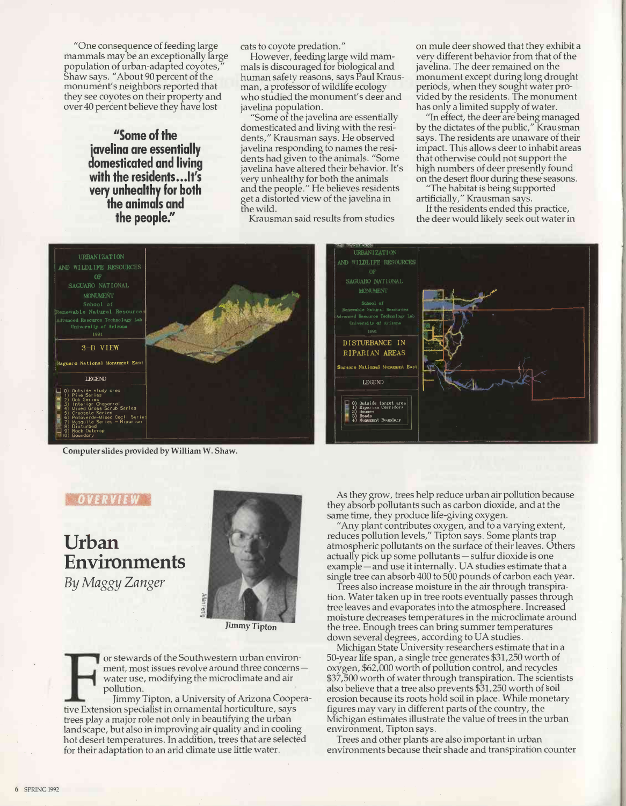"One consequence of feeding large mammals may be an exceptionally large population of urban -adapted coyotes," Shaw says. "About 90 percent of the monument's neighbors reported that they see coyotes on their property and over 40 percent believe they have lost

> "Some of the javelina are essentially domesticated and living with the residents...lt's very unhealthy for both the animals and the people."

cats to coyote predation."

However, feeding large wild mammals is discouraged for biological and human safety reasons, says Paul Krausman, a professor of wildlife ecology who studied the monument's deer and javelina population.

"Some of the javelina are essentially domesticated and living with the residents," Krausman says. He observed javelina responding to names the residents had given to the animals. "Some javelina have altered their behavior. It's very unhealthy for both the animals and the people." He believes residents get a distorted view of the javelina in the wild.

Krausman said results from studies

GRASH CRAPHS

URBANIZATION

School of<br>Renewable Natural Resources

DISTURBANCE IN RIPARIAN AREAS on mule deer showed that they exhibit a very different behavior from that of the javelina. The deer remained on the monument except during long drought periods, when they sought water provided by the residents. The monument has only a limited supply of water.

"In effect, the deer are being managed by the dictates of the public," Krausman says. The residents are unaware of their impact. This allows deer to inhabit areas that otherwise could not support the high numbers of deer presently found on the desert floor during these seasons.

"The habitat is being supported artificially," Krausman says.

If the residents ended this practice, the deer would likely seek out water in



Computer slides provided by William W. Shaw.

## 0 73 3 7 8 3 1

Urban Environments By Maggy Zanger



Jimmy Tipton

or stewards of the Southwestern urban environment, most issues revolve around three concerns water use, modifying the microclimate and air pollution.

Jimmy Tipton, a University of Arizona Cooperative Extension specialist in ornamental horticulture, says trees play a major role not only in beautifying the urban landscape, but also in improving air quality and in cooling hot desert temperatures. In addition, trees that are selected for their adaptation to an arid climate use little water.



As they grow, trees help reduce urban air pollution because they absorb pollutants such as carbon dioxide, and at the same time, they produce life-giving oxygen.

"Any plant contributes oxygen, and to a varying extent, reduces pollution levels," Tipton says. Some plants trap atmospheric pollutants on the surface of their leaves. Others actually pick up some pollutants - sulfur dioxide is one example – and use it internally. UA studies estimate that a single tree can absorb 400 to 500 pounds of carbon each year.

Trees also increase moisture in the air through transpiration. Water taken up in tree roots eventually passes through tree leaves and evaporates into the atmosphere. Increased moisture decreases temperatures in the microclimate around the tree. Enough trees can bring summer temperatures down several degrees, according to UA studies.

Michigan State University researchers estimate that in a 50 -year life span, a single tree generates \$31,250 worth of oxygen, \$62,000 worth of pollution control, and recycles \$37,500 worth of water through transpiration. The scientists also believe that a tree also prevents \$31,250 worth of soil erosion because its roots hold soil in place. While monetary figures may vary in different parts of the country, the Michigan estimates illustrate the value of trees in the urban environment, Tipton says.

Trees and other plants are also important in urban environments because their shade and transpiration counter